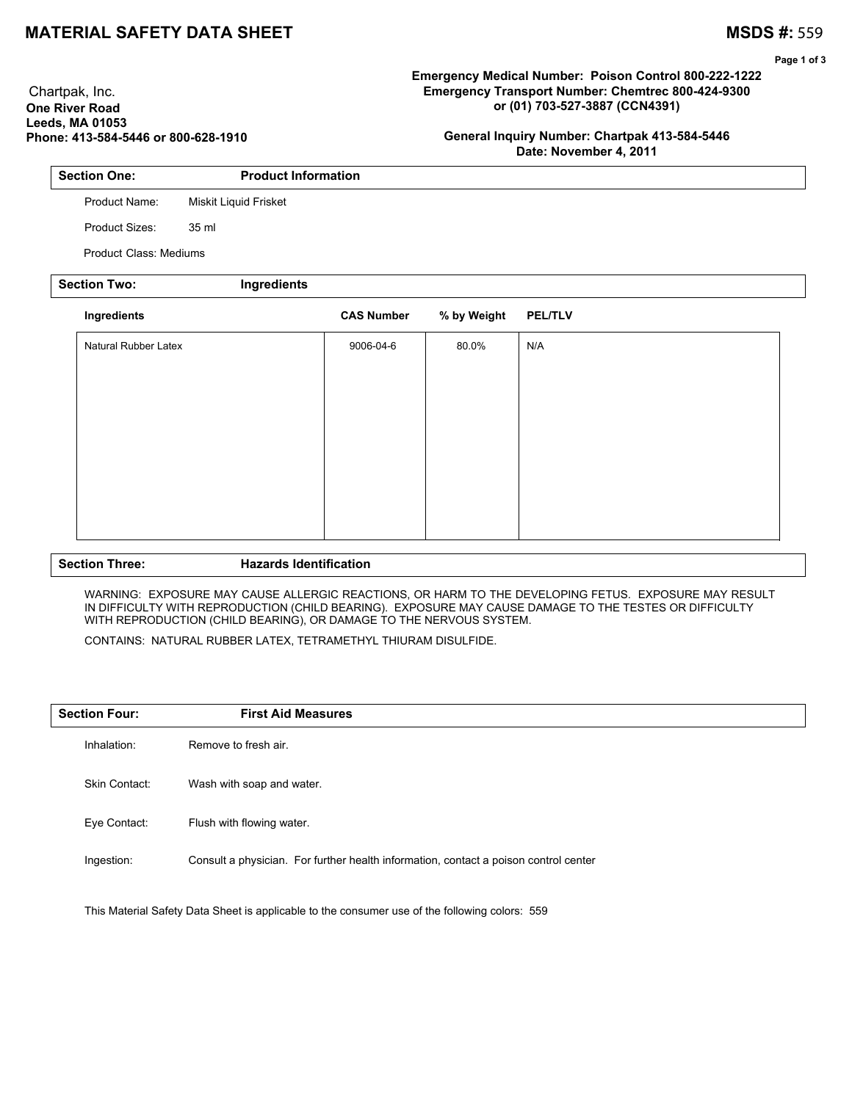## **MATERIAL SAFETY DATA SHEET MATERIAL SAFETY DATA SHEET**

 Chartpak, Inc. **One River Road Leeds, MA 01053** **Page 1 of 3**

## **Emergency Medical Number: Poison Control 800-222-1222 Emergency Transport Number: Chemtrec 800-424-9300 or (01) 703-527-3887 (CCN4391)**

**General Inquiry Number: Chartpak 413-584-5446 Date: November 4, 2011**

| <b>Section One:</b> | <b>Product Information</b> |
|---------------------|----------------------------|
| Product Name:       | Miskit Liquid Frisket      |
| Product Sizes:      | 35 ml                      |

Product Class: Mediums

**Phone: 413-584-5446 or 800-628-1910**

| <b>Section Two:</b><br>Ingredients |                      |  |                   |             |                |  |
|------------------------------------|----------------------|--|-------------------|-------------|----------------|--|
|                                    | Ingredients          |  | <b>CAS Number</b> | % by Weight | <b>PEL/TLV</b> |  |
|                                    | Natural Rubber Latex |  | 9006-04-6         | 80.0%       | N/A            |  |
|                                    |                      |  |                   |             |                |  |
|                                    |                      |  |                   |             |                |  |
|                                    |                      |  |                   |             |                |  |
|                                    |                      |  |                   |             |                |  |
|                                    |                      |  |                   |             |                |  |
|                                    |                      |  |                   |             |                |  |

### **Section Three: Hazards Identification**

WARNING: EXPOSURE MAY CAUSE ALLERGIC REACTIONS, OR HARM TO THE DEVELOPING FETUS. EXPOSURE MAY RESULT IN DIFFICULTY WITH REPRODUCTION (CHILD BEARING). EXPOSURE MAY CAUSE DAMAGE TO THE TESTES OR DIFFICULTY WITH REPRODUCTION (CHILD BEARING), OR DAMAGE TO THE NERVOUS SYSTEM.

CONTAINS: NATURAL RUBBER LATEX, TETRAMETHYL THIURAM DISULFIDE.

| <b>Section Four:</b> | <b>First Aid Measures</b>                                                            |
|----------------------|--------------------------------------------------------------------------------------|
| Inhalation:          | Remove to fresh air.                                                                 |
| Skin Contact:        | Wash with soap and water.                                                            |
| Eye Contact:         | Flush with flowing water.                                                            |
| Ingestion:           | Consult a physician. For further health information, contact a poison control center |

This Material Safety Data Sheet is applicable to the consumer use of the following colors: 559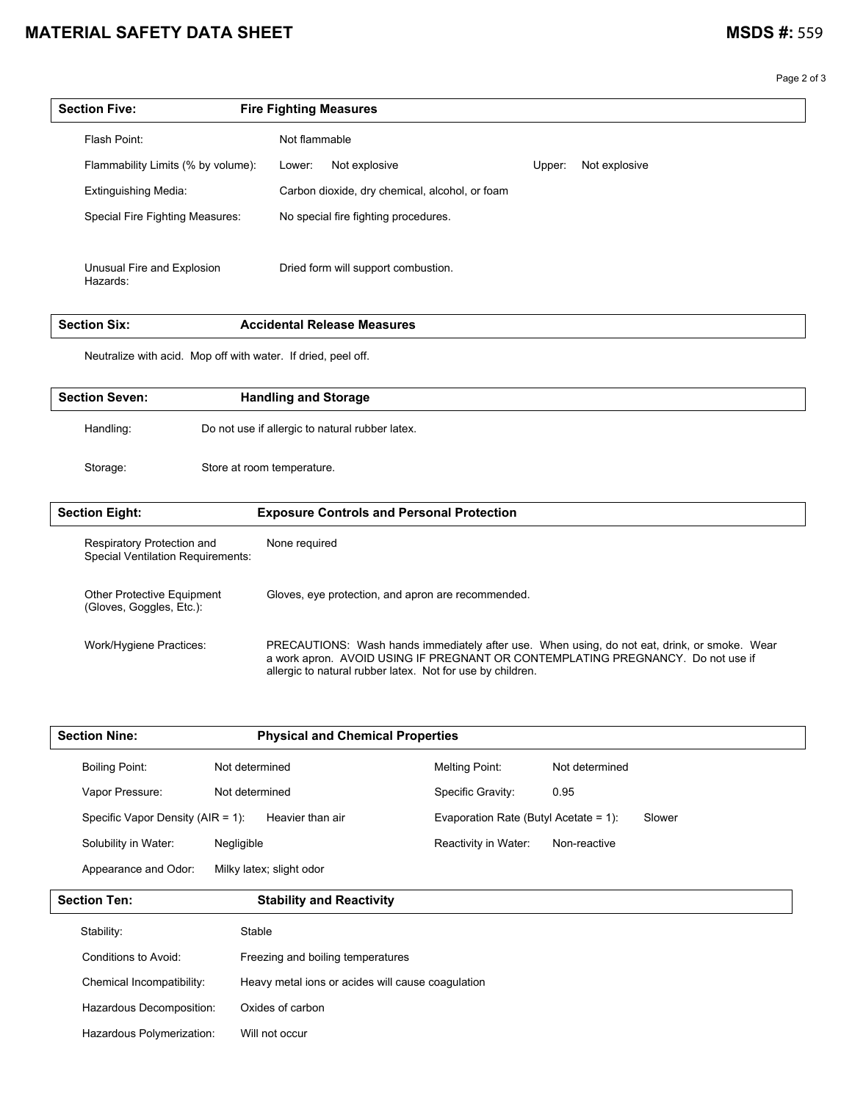# **MATERIAL SAFETY DATA SHEET MATERIAL SAFETY DATA SHEET**

Page 2 of 3

| <b>Section Five:</b>                   | <b>Fire Fighting Measures</b>                  |                         |  |
|----------------------------------------|------------------------------------------------|-------------------------|--|
| Flash Point:                           | Not flammable                                  |                         |  |
| Flammability Limits (% by volume):     | Not explosive<br>Lower:                        | Not explosive<br>Upper: |  |
| <b>Extinguishing Media:</b>            | Carbon dioxide, dry chemical, alcohol, or foam |                         |  |
| Special Fire Fighting Measures:        | No special fire fighting procedures.           |                         |  |
|                                        |                                                |                         |  |
| Unusual Fire and Explosion<br>Hazards: | Dried form will support combustion.            |                         |  |

| Six:<br>- 22 | Measures<br>.<br>:Itast<br>. |
|--------------|------------------------------|

Neutralize with acid. Mop off with water. If dried, peel off.

| <b>Section Seven:</b>                                           | <b>Handling and Storage</b>                        |  |
|-----------------------------------------------------------------|----------------------------------------------------|--|
| Handling:                                                       | Do not use if allergic to natural rubber latex.    |  |
| Storage:                                                        | Store at room temperature.                         |  |
| <b>Section Eight:</b>                                           | <b>Exposure Controls and Personal Protection</b>   |  |
| Respiratory Protection and<br>Special Ventilation Requirements: | None required                                      |  |
| <b>Other Protective Equipment</b><br>(Gloves, Goggles, Etc.):   | Gloves, eye protection, and apron are recommended. |  |

Work/Hygiene Practices: PRECAUTIONS: Wash hands immediately after use. When using, do not eat, drink, or smoke. Wear a work apron. AVOID USING IF PREGNANT OR CONTEMPLATING PREGNANCY. Do not use if allergic to natural rubber latex. Not for use by children.

| <b>Section Nine:</b>                  | <b>Physical and Chemical Properties</b> |                                       |                |
|---------------------------------------|-----------------------------------------|---------------------------------------|----------------|
| <b>Boiling Point:</b>                 | Not determined                          | Melting Point:                        | Not determined |
| Vapor Pressure:                       | Not determined                          | Specific Gravity:                     | 0.95           |
| Specific Vapor Density ( $AIR = 1$ ): | Heavier than air                        | Evaporation Rate (Butyl Acetate = 1): | Slower         |
| Solubility in Water:                  | Negligible                              | Reactivity in Water:                  | Non-reactive   |
| Appearance and Odor:                  | Milky latex; slight odor                |                                       |                |

| <b>Section Ten:</b>       | <b>Stability and Reactivity</b>                   |
|---------------------------|---------------------------------------------------|
| Stability:                | Stable                                            |
| Conditions to Avoid:      | Freezing and boiling temperatures                 |
| Chemical Incompatibility: | Heavy metal ions or acides will cause coagulation |
| Hazardous Decomposition:  | Oxides of carbon                                  |
| Hazardous Polymerization: | Will not occur                                    |